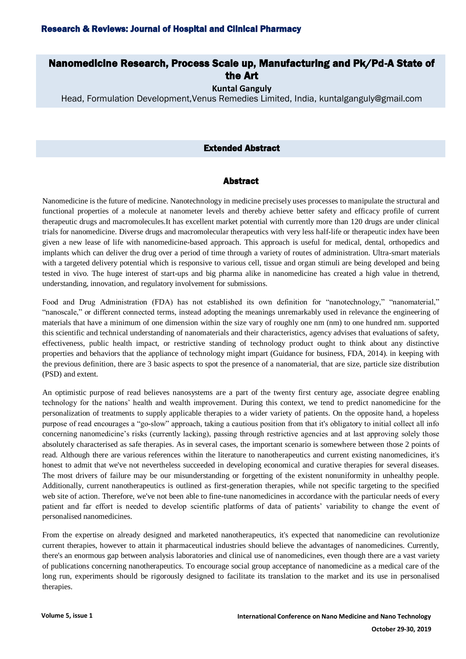# Nanomedicine Research, Process Scale up, Manufacturing and Pk/Pd-A State of the Art

**Kuntal Ganguly**

Head, Formulation Development,Venus Remedies Limited, India, kuntalganguly@gmail.com

### Extended Abstract

#### Abstract

Nanomedicine is the future of medicine. Nanotechnology in medicine precisely uses processes to manipulate the structural and functional properties of a molecule at nanometer levels and thereby achieve better safety and efficacy profile of current therapeutic drugs and macromolecules.It has excellent market potential with currently more than 120 drugs are under clinical trials for nanomedicine. Diverse drugs and macromolecular therapeutics with very less half-life or therapeutic index have been given a new lease of life with nanomedicine-based approach. This approach is useful for medical, dental, orthopedics and implants which can deliver the drug over a period of time through a variety of routes of administration. Ultra-smart materials with a targeted delivery potential which is responsive to various cell, tissue and organ stimuli are being developed and being tested in vivo. The huge interest of start-ups and big pharma alike in nanomedicine has created a high value in thetrend, understanding, innovation, and regulatory involvement for submissions.

Food and Drug Administration (FDA) has not established its own definition for "nanotechnology," "nanomaterial," "nanoscale," or different connected terms, instead adopting the meanings unremarkably used in relevance the engineering of materials that have a minimum of one dimension within the size vary of roughly one nm (nm) to one hundred nm. supported this scientific and technical understanding of nanomaterials and their characteristics, agency advises that evaluations of safety, effectiveness, public health impact, or restrictive standing of technology product ought to think about any distinctive properties and behaviors that the appliance of technology might impart (Guidance for business, FDA, 2014). in keeping with the previous definition, there are 3 basic aspects to spot the presence of a nanomaterial, that are size, particle size distribution (PSD) and extent.

An optimistic purpose of read believes nanosystems are a part of the twenty first century age, associate degree enabling technology for the nations' health and wealth improvement. During this context, we tend to predict nanomedicine for the personalization of treatments to supply applicable therapies to a wider variety of patients. On the opposite hand, a hopeless purpose of read encourages a "go-slow" approach, taking a cautious position from that it's obligatory to initial collect all info concerning nanomedicine's risks (currently lacking), passing through restrictive agencies and at last approving solely those absolutely characterised as safe therapies. As in several cases, the important scenario is somewhere between those 2 points of read. Although there are various references within the literature to nanotherapeutics and current existing nanomedicines, it's honest to admit that we've not nevertheless succeeded in developing economical and curative therapies for several diseases. The most drivers of failure may be our misunderstanding or forgetting of the existent nonuniformity in unhealthy people. Additionally, current nanotherapeutics is outlined as first-generation therapies, while not specific targeting to the specified web site of action. Therefore, we've not been able to fine-tune nanomedicines in accordance with the particular needs of every patient and far effort is needed to develop scientific platforms of data of patients' variability to change the event of personalised nanomedicines.

From the expertise on already designed and marketed nanotherapeutics, it's expected that nanomedicine can revolutionize current therapies, however to attain it pharmaceutical industries should believe the advantages of nanomedicines. Currently, there's an enormous gap between analysis laboratories and clinical use of nanomedicines, even though there are a vast variety of publications concerning nanotherapeutics. To encourage social group acceptance of nanomedicine as a medical care of the long run, experiments should be rigorously designed to facilitate its translation to the market and its use in personalised therapies.